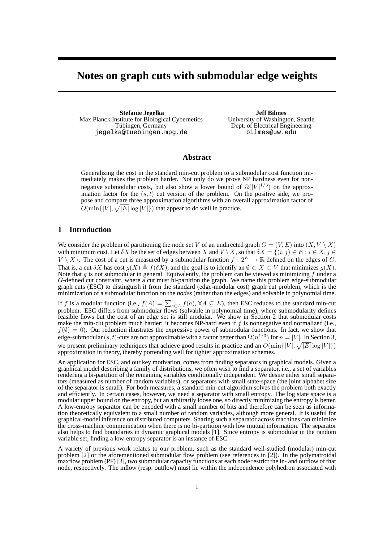# **Notes on graph cuts with submodular edge weights**

**Stefanie Jegelka** Max Planck Institute for Biological Cybernetics Tübingen, Germany jegelka@tuebingen.mpg.de

**Jeff Bilmes** University of Washington, Seattle Dept. of Electrical Engineering bilmes@uw.edu

# **Abstract**

Generalizing the cost in the standard min-cut problem to a submodular cost function immediately makes the problem harder. Not only do we prove NP hardness even for nonnegative submodular costs, but also show a lower bound of  $\Omega(|V|^{1/3})$  on the approximation factor for the  $(s, t)$  cut version of the problem. On the positive side, we propose and compare three approximation algorithms with an overall approximation factor of  $O(\min\{|V|, \sqrt{|E|}\log|V|\})$  that appear to do well in practice.

# **1 Introduction**

We consider the problem of partitioning the node set V of an undirected graph  $G = (V, E)$  into  $(X, V \setminus X)$ with minimum cost. Let  $\delta X$  be the set of edges between X and  $V \setminus X$ , so that  $\delta X = \{(i, j) \in E : i \in X, j \in Y\}$  $V \setminus X$ . The cost of a cut is measured by a submodular function  $f : 2^E \to \mathbb{R}$  defined on the edges of G. That is, a cut  $\delta X$  has cost  $g(X) \triangleq f(\delta X)$ , and the goal is to identify an  $\emptyset \subset X \subset V$  that minimizes  $g(X)$ .<br>Note that g is not submodular in general. Equivalently, the problem can be viewed as minimizing f under a  $G$ -defined cut constraint, where a cut must bi-partition the graph. We name this problem edge-submodular graph cuts (ESC) to distinguish it from the standard (edge-modular cost) graph cut problem, which is the minimization of a submodular function on the *nodes* (rather than the edges) and solvable in polynomial time.

If f is a modular function (i.e.,  $f(A) = \sum_{e \in A} f(a), \forall A \subseteq E$ ), then ESC reduces to the standard min-cut problem. ESC differs from submodular flows (solvable in polynomial time), where submodularity defines feasible flows but the cost of an edge set is still modular. We show in Section 2 that submodular costs make the min-cut problem much harder: it becomes NP-hard even if  $f$  is nonnegative and normalized (i.e.,  $f(\emptyset) = 0$ ). Our reduction illustrates the expressive power of submodular functions. In fact, we show that edge-submodular  $(s, t)$ -cuts are not approximable with a factor better than  $\Omega(n^{1/3})$  for  $n = |V|$ . In Section 3, we present preliminary techniques that achieve good results in practice and an  $O(\min\{|V|, \sqrt{|E|}\log|V|\})$ approximation in theory, thereby portending well for tighter approximation schemes.

An application for ESC, and our key motivation, comes from finding separators in graphical models. Given a graphical model describing a family of distributions, we often wish to find a separator, i.e., a set of variables rendering a bi-partition of the remaining variables conditionally independent. We desire either small separators (measured as number of random variables), or separators with small state-space (the joint alphabet size of the separator is small). For both measures, a standard min-cut algorithm solves the problem both exactly and efficiently. In certain cases, however, we need a separator with small entropy. The log state space is a modular upper bound on the entropy, but an arbitrarily loose one, so directly minimizing the entropy is better. A low-entropy separator can be encoded with a small number of bits and therefore can be seen as information theoretically equivalent to a small number of random variables, although more general. It is useful for graphical-model inference on distributed computers. Sharing such a separator across machines can minimize the cross-machine communication when there is no bi-partition with low mutual information. The separator also helps to find boundaries in dynamic graphical models [1]. Since entropy is submodular in the random variable set, finding a low-entropy separator is an instance of ESC.

A variety of previous work relates to our problem, such as the standard well-studied (modular) min-cut problem [2] or the aforementioned submodular flow problem (see references in [2]). In the polymatroidal maxflow problem (PF) [3], two submodular capacity functions at each node restrict the in- and outflow of that node, respectively. The inflow (resp. outflow) must lie within the independence polyhedron associated with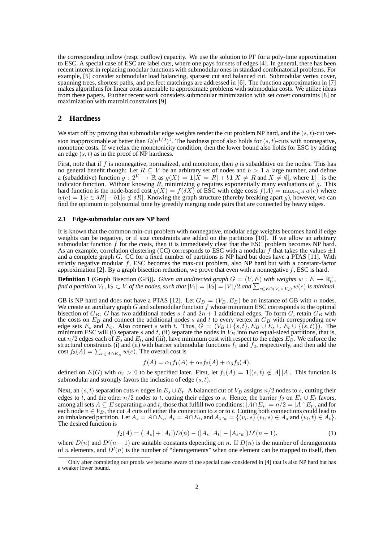the corresponding inflow (resp. outflow) capacity. We use the solution to PF for a poly-time approximation to ESC. A special case of ESC are label cuts, where one pays for sets of edges [4]. In general, there has been recent interest in replacing modular functions with submodular ones in standard combinatorial problems. For example, [5] consider submodular load balancing, sparsest cut and balanced cut. Submodular vertex cover, spanning trees, shortest paths, and perfect matchings are addressed in [6]. The function approximation in [7] makes algorithms for linear costs amenable to approximate problems with submodular costs. We utilize ideas from these papers. Further recent work considers submodular minimization with set cover constraints [8] or maximization with matroid constraints [9].

# **2 Hardness**

We start off by proving that submodular edge weights render the cut problem NP hard, and the  $(s, t)$ -cut version inapproximable at better than  $\Omega(n^{1/3})^1$ . The hardness proof also holds for  $(s, t)$ -cuts with nonnegative, monotone costs. If we relax the monotonicity condition, then the lower bound also holds for ESC by adding an edge  $(s, t)$  as in the proof of NP hardness.

First, note that if f is nonnegative, normalized, and monotone, then  $g$  is subadditive on the nodes. This has no general benefit though: Let  $R \subseteq V$  be an arbitrary set of nodes and  $b > 1$  a large number, and define a (subadditive) function  $g: 2^V \to \mathbb{R}$  as  $g(X) = \mathbf{1}[X = R] + b\mathbf{1}[X \neq R$  and  $X \neq \emptyset]$ , where  $\mathbf{1}[\cdot]$  is the indicator function. Without knowing R, minimizing g requires exponentially many evaluations of g. This hard function is the node-based cost  $g(X) = f(\delta X)$  of ESC with edge costs  $f(A) = \max_{e \in A} w(e)$  where  $w(e) = \mathbf{1}[e \in \delta R] + b\mathbf{1}[e \notin \delta R]$ . Knowing the graph structure (thereby breaking apart g), however, we can find the optimum in polynomial time by greedily merging node pairs that are connected by heavy edges.

#### **2.1 Edge-submodular cuts are NP hard**

It is known that the common min-cut problem with nonnegative, modular edge weights becomes hard if edge weights can be negative, or if size constraints are added on the partitions [10]. If we allow an arbitrary submodular function f for the costs, then it is immediately clear that the ESC problem becomes NP hard. As an example, correlation clustering (CC) corresponds to ESC with a modular f that takes the values  $\pm 1$ and a complete graph G. CC for a fixed number of partitions is NP hard but does have a PTAS [11]. With strictly negative modular f, ESC becomes the max-cut problem, also NP hard but with a constant-factor approximation [2]. By a graph bisection reduction, we prove that even with a nonnegative  $f$ , ESC is hard.

**Definition 1** (Graph Bisection (GB)). *Given an undirected graph*  $G = (V, E)$  *with weights*  $w : E \to \mathbb{R}_0^+$ , find a partition  $V_1, V_2 \subset V$  of the nodes, such that  $|V_1|=|V_2|=|V|/2$  and  $\sum_{e\in E\cap (V_1\times V_2)}w(e)$  is minimal.

GB is NP hard and does not have a PTAS [12]. Let  $G_B = (V_B, E_B)$  be an instance of GB with n nodes. We create an auxiliary graph G and submodular function  $f$  whose minimum ESC corresponds to the optimal bisection of  $G_B$ . G has two additional nodes s, t and  $2n + 1$  additional edges. To form G, retain  $G_B$  with the costs on  $E_B$  and connect the additional nodes s and t to every vertex in  $G_B$  with corresponding new edge sets  $E_s$  and  $E_t$ . Also connect s with t. Thus,  $G = (V_B \cup \{s, t\}, E_B \cup E_s \cup E_t \cup \{(s, t)\})$ . The minimum ESC will (i) separate s and t, (ii) separate the nodes in  $V_B$  into two equal-sized partitions, that is, cut  $n/2$  edges each of  $E_s$  and  $E_t$ , and (iii), have minimum cost with respect to the edges  $E_B$ . We enforce the structural constraints (i) and (ii) with barrier submodular functions  $f_1$  and  $f_2$ , respectively, and then add the cost  $f_3(A) = \sum_{e \in A \cap E_B} w(e)$ . The overall cost is

$$
f(A) = \alpha_1 f_1(A) + \alpha_2 f_2(A) + \alpha_3 f_3(A),
$$

defined on  $E(G)$  with  $\alpha_i > 0$  to be specified later. First, let  $f_1(A) = \mathbf{1}[(s, t) \notin A] |A|$ . This function is submodular and strongly favors the inclusion of edge  $(s, t)$ .

Next, an  $(s, t)$  separation cuts n edges in  $E_s \cup E_t$ . A balanced cut of  $V_B$  assigns  $n/2$  nodes to s, cutting their edges to t, and the other  $n/2$  nodes to t, cutting their edges to s. Hence, the barrier  $f_2$  on  $E_s \cup E_t$  favors, among all sets  $A \subseteq E$  separating s and t, those that fulfill two conditions:  $|A \cap E_s| = n/2 = |A \cap E_t|$ , and for each node  $v \in V_B$ , the cut A cuts off either the connection to s or to t. Cutting both connections could lead to an imbalanced partition. Let  $A_s = A \cap E_s$ ,  $A_t = A \cap E_t$ , and  $A_{s \cap t} = \{(v_i, s) | (v_i, s) \in A_s \text{ and } (v_i, t) \in A_t\}.$ The desired function is

$$
f_2(A) = (|A_s| + |A_t|)D(n) - (|A_s||A_t| - |A_{s \cap t}|)D'(n-1),\tag{1}
$$

where  $D(n)$  and  $D'(n-1)$  are suitable constants depending on n. If  $D(n)$  is the number of derangements of *n* elements, and  $D'(n)$  is the number of "derangements" when one element can be mapped to itself, then

<sup>1</sup>Only after completing our proofs we became aware of the special case considered in [4] that is also NP hard but has a weaker lower bound.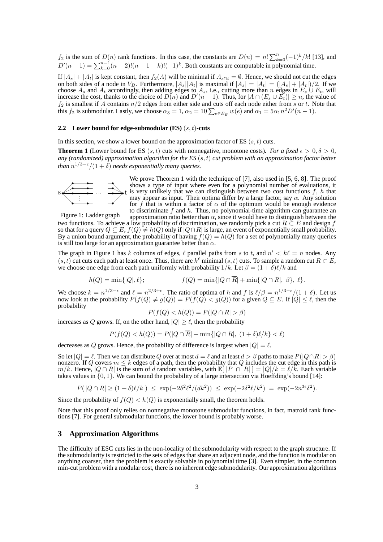$f_2$  is the sum of  $D(n)$  rank functions. In this case, the constants are  $D(n) = n! \sum_{k=0}^{n} (-1)^k / k!$  [13], and  $D'(n-1) = \sum_{k=0}^{n-1} (n-2)!(n-1-k)!(-1)^k$ . Both constants are computable in polynomial time.

If  $|A_s| + |A_t|$  is kept constant, then  $f_2(A)$  will be minimal if  $A_{s \cap t} = \emptyset$ . Hence, we should not cut the edges on both sides of a node in  $V_B$ . Furthermore,  $|A_s||A_t|$  is maximal if  $|A_s| = |A_t| = (|A_s| + |A_t|)/2$ . If we choose  $A_s$  and  $A_t$  accordingly, then adding edges to  $A_s$ , i.e., cutting more than n edges in  $E_s \cup E_t$ , will increase the cost, thanks to the choice of  $D(n)$  and  $D'(n-1)$ . Thus, for  $|A \cap (E_s \cup E_t)| \ge n$ , the value of  $f_2$  is smallest if A contains  $n/2$  edges from either side and cuts off each node either from s or t. Note that this  $f_2$  is submodular. Lastly, we choose  $\alpha_3 = 1$ ,  $\alpha_2 = 10 \sum_{e \in E_B} w(e)$  and  $\alpha_1 = 5\alpha_1 n^2 D'(n-1)$ .

## **2.2 Lower bound for edge-submodular (ES)** (s, t)**-cuts**

In this section, we show a lower bound on the approximation factor of ES  $(s, t)$  cuts.

**Theorem 1** (Lower bound for ES  $(s, t)$  cuts with nonnegative, monotone costs). For a fixed  $\epsilon > 0, \delta > 0$ , *any (randomized) approximation algorithm for the ES* (s, t) *cut problem with an approximation factor better than*  $n^{1/3-\epsilon}/(1+\delta)$  *needs exponentially many queries.* 



We prove Theorem 1 with the technique of [7], also used in [5, 6, 8]. The proof shows a type of input where even for a polynomial number of evaluations, it is very unlikely that we can distinguish between two cost functions  $f$ ,  $h$  that may appear as input. Their optima differ by a large factor, say  $\alpha$ . Any solution for f that is within a factor of  $\alpha$  of the optimum would be enough evidence to discriminate  $f$  and  $h$ . Thus, no polynomial-time algorithm can guarantee an

Figure 1: Ladder graph approximation ratio better than  $\alpha$ , since it would have to distinguish between the two functions. To achieve a low probability of discrimination, we randomly pick a cut  $R \subseteq E$  and design f so that for a query  $Q \subseteq E$ ,  $f(Q) \neq h(Q)$  only if  $|Q \cap R|$  is large, an event of exponentially small probability. By a union bound argument, the probability of having  $f(Q) = h(Q)$  for a set of polynomially many queries is still too large for an approximation guarantee better than  $\alpha$ .

The graph in Figure 1 has k columns of edges,  $\ell$  parallel paths from s to t, and  $n' < k\ell = n$  nodes. Any  $(s, t)$  cut cuts each path at least once. Thus, there are  $k^{\ell}$  minimal  $(s, t)$  cuts. To sample a random cut  $R \subset E$ , we choose one edge from each path uniformly with probability  $1/k$ . Let  $\beta = (1 + \delta)\ell/k$  and

$$
h(Q) = \min\{|Q|, \ell\}; \qquad f(Q) = \min\{|Q \cap \overline{R}| + \min\{|Q \cap R|, \beta\}, \ell\}.
$$

We choose  $k = n^{1/3 - \epsilon}$  and  $\ell = n^{2/3 + \epsilon}$ . The ratio of optima of h and f is  $\ell/\beta = n^{1/3 - \epsilon}/(1 + \delta)$ . Let us now look at the probability  $P(f(Q) \neq g(Q)) = P(f(Q) < g(Q))$  for a given  $Q \subseteq E$ . If  $|Q| \leq \ell$ , then the probability

$$
P(f(Q) < h(Q)) = P(|Q \cap R| > \beta)
$$

increases as Q grows. If, on the other hand,  $|Q| \geq \ell$ , then the probability

$$
P(f(Q) < h(Q)) = P(|Q \cap \overline{R}| + \min\{|Q \cap R|, (1 + \delta)\ell/k\} < \ell)
$$

decreases as Q grows. Hence, the probability of difference is largest when  $|Q| = \ell$ .

So let  $|Q| = \ell$ . Then we can distribute Q over at most  $d = \ell$  and at least  $d > \beta$  paths to make  $P(|Q \cap R| > \beta)$ nonzero. If Q covers  $m \le k$  edges of a path, then the probability that Q includes the cut edge in this path is  $m/k$ . Hence,  $|Q \cap R|$  is the sum of d random variables, with  $\mathbb{E}[|P \cap R|] = |Q|/k = \ell/k$ . Each variable takes values in  $\{0, 1\}$ . We can bound the probability of a large intersection via Hoeffding's bound [14]:

$$
P(|Q \cap R| \ge (1+\delta)\ell/k) \le \exp(-2\delta^2 \ell^2/(dk^2)) \le \exp(-2\delta^2 \ell/k^2) = \exp(-2n^{3\epsilon}\delta^2).
$$

Since the probability of  $f(Q) < h(Q)$  is exponentially small, the theorem holds.

Note that this proof only relies on nonnegative monotone submodular functions, in fact, matroid rank functions [7]. For general submodular functions, the lower bound is probably worse.

# **3 Approximation Algorithms**

The difficulty of ESC cuts lies in the non-locality of the submodularity with respect to the graph structure. If the submodularity is restricted to the sets of edges that share an adjacent node, and the function is modular on anything coarser, then the problem is exactly solvable in polynomial time [3]. Even simpler, in the common min-cut problem with a modular cost, there is no inherent edge submodularity. Our approximation algorithms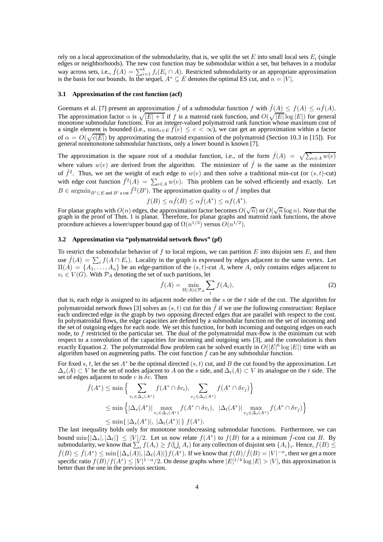rely on a local approximation of the submodularity, that is, we split the set E into small local sets  $E_i$  (single edges or neighborhoods). The new cost function may be submodular within a set, but behaves in a modular way across sets, i.e.,  $\hat{f}(A) = \sum_{i=1}^{k} f_i(E_i \cap A)$ . Restricted submodularity or an appropriate approximation is the basis for our bounds. In the sequel,  $A^* \subseteq E$  denotes the optimal ES cut, and  $n = |V|$ .

#### **3.1 Approximation of the cost function (acf)**

Goemans et al. [7] present an approximation  $\hat{f}$  of a submodular function f with  $\hat{f}(A) \leq f(A) \leq \alpha \hat{f}(A)$ . The approximation factor  $\alpha$  is  $\sqrt{|E| + 1}$  if f is a matroid rank function, and  $O(\sqrt{|E|} \log |E|)$  for general monotone submodular functions. For an integer-valued polymatroid rank function whose maximum cost of a single element is bounded (i.e.,  $\max_{e \in E} f(e) \leq c < \infty$ ), we can get an approximation within a factor of  $\alpha = O(\sqrt{c|E|})$  by approximating the matroid expansion of the polymatroid (Section 10.3 in [15]). For general nonmonotone submodular functions, only a lower bound is known [7].

The approximation is the square root of a modular function, i.e., of the form  $\hat{f}(A) = \sqrt{\sum_{e \in A} w(e)}$ where values  $w(e)$  are derived from the algorithm. The minimizer of  $\hat{f}$  is the same as the minimizer of  $\hat{f}^2$ . Thus, we set the weight of each edge to  $w(e)$  and then solve a traditional min-cut (or  $(s, t)$ -cut) with edge cost function  $\hat{f}^2(A) = \sum_{e \in A} w(e)$ . This problem can be solved efficiently and exactly. Let  $B \in \operatorname{argmin}_{B' \subset E \text{ and } B'}$  a cut  $\hat{f}^2(B')$ . The approximation quality  $\alpha$  of  $\hat{f}$  implies that

$$
f(B) \le \alpha \hat{f}(B) \le \alpha \hat{f}(A^*) \le \alpha f(A^*).
$$

For planar graphs with  $O(n)$  edges, the approximation factor becomes  $O(\sqrt{n})$  or  $O(\sqrt{n}\log n)$ . Note that the graph in the proof of Thm. 1 is planar. Therefore, for planar graphs and matroid rank functions, the above procedure achieves a lower/upper bound gap of  $\Omega(n^{1/3})$  versus  $O(n^{1/2})$ .

# **3.2 Approximation via "polymatroidal network flows" (pf)**

To restrict the submodular behavior of f to local regions, we can partition E into disjoint sets  $E_i$  and then use  $\hat{f}(A) = \sum_i f(A \cap E_i)$ . Locality in the graph is expressed by edges adjacent to the same vertex. Let  $\Pi(A) = \{A_1, \ldots, A_n\}$  be an edge-partition of the  $(s, t)$ -cut A, where  $A_i$  only contains edges adjacent to  $v_i \in V(G)$ . With  $\mathcal{P}_A$  denoting the set of such partitions, let

$$
\hat{f}(A) = \min_{\Pi(A) \in \mathcal{P}_A} \sum_i f(A_i),\tag{2}
$$

that is, each edge is assigned to its adjacent node either on the s or the t side of the cut. The algorithm for polymatroidal network flows [3] solves an  $(s, t)$  cut for this  $\hat{f}$  if we use the following construction: Replace each undirected edge in the graph by two opposing directed edges that are parallel with respect to the cost. In polymatroidal flows, the edge capacities are defined by a submodular function on the set of incoming and the set of outgoing edges for each node. We set this function, for both incoming and outgoing edges on each node, to f restricted to the particular set. The dual of the polymatroidal max-flow is the minimum cut with respect to a convolution of the capacities for incoming and outgoing sets [3], and the convolution is then exactly Equation 2. The polymatroidal flow problem can be solved exactly in  $O(|E|^6 \log |E|)$  time with an algorithm based on augmenting paths. The cost function  $f$  can be any submodular function.

For fixed s, t, let the set  $A^*$  be the optimal directed  $(s, t)$  cut, and B the cut found by the approximation. Let  $\Delta_s(A) \subset V$  be the set of nodes adjacent to A on the s side, and  $\Delta_t(A) \subset V$  its analogue on the t side. The set of edges adjacent to node v is  $\delta v$ . Then

$$
\hat{f}(A^*) \le \min \Big\{ \sum_{v_i \in \Delta_s(A^*)} f(A^* \cap \delta v_i), \sum_{v_j \in \Delta_t(A^*)} f(A^* \cap \delta v_j) \Big\}
$$
  
\n
$$
\le \min \Big\{ |\Delta_s(A^*)| \max_{v_i \in \Delta_s(A^*)} f(A^* \cap \delta v_i), |\Delta_t(A^*)| \max_{v_j \in \Delta_t(A^*)} f(A^* \cap \delta v_j) \Big\}
$$
  
\n
$$
\le \min \{ |\Delta_s(A^*)|, |\Delta_t(A^*)| \} f(A^*).
$$

The last inequality holds only for monotone nondecreasing submodular functions. Furthermore, we can bound  $\min\{|\Delta_s|, |\Delta_t|\} \leq |V|/2$ . Let us now relate  $f(A^*)$  to  $f(B)$  for a a minimum  $\hat{f}$ -cost cut B. By submodularity, we know that  $\sum_i f(A_i) \ge f(\bigcup_i A_i)$  for any collection of disjoint sets  $\{A_i\}_i$ . Hence,  $f(B) \le$  $\hat{f}(B) \leq \hat{f}(A^*) \leq \min\{|\Delta_s(A)|, |\Delta_t(A)|\} f(A^*)$ . If we know that  $f(B)/\hat{f}(B) = |V|^{-\alpha}$ , then we get a more specific ratio  $f(B)/f(A^*) \le |V|^{1-\alpha}/2$ . On dense graphs where  $|E|^{1/4} \log |E| > |V|$ , this approximation is better than the one in the previous section.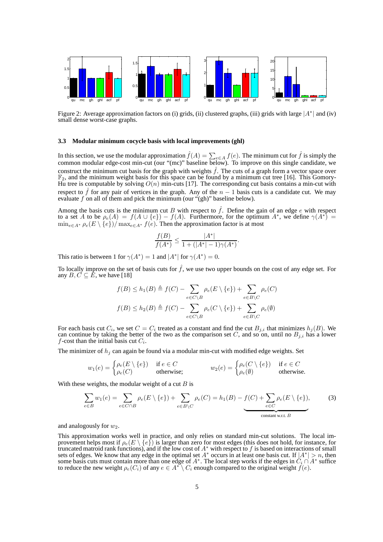

Figure 2: Average approximation factors on (i) grids, (ii) clustered graphs, (iii) grids with large  $|A^*|$  and (iv) small dense worst-case graphs.

### **3.3 Modular minimum cocycle basis with local improvements (ghl)**

In this section, we use the modular approximation  $\hat{f}(A) = \sum_{e \in A} f(e)$ . The minimum cut for  $\hat{f}$  is simply the common modular edge-cost min-cut (our "(mc)" baseline below). To improve on this single candidate, we construct the minimum cut basis for the graph with weights  $\hat{f}$ . The cuts of a graph form a vector space over  $\mathbb{F}_2$ , and the minimum weight basis for this space can be found by a minimum cut tree [16]. This Gomory-Hu tree is computable by solving  $O(n)$  min-cuts [17]. The corresponding cut basis contains a min-cut with respect to  $\hat{f}$  for any pair of vertices in the graph. Any of the  $n-1$  basis cuts is a candidate cut. We may evaluate f on all of them and pick the minimum (our " $(\text{gh})$ " baseline below).

Among the basis cuts is the minimum cut B with respect to  $\hat{f}$ . Define the gain of an edge e with respect to a set A to be  $\rho_e(A) = f(A \cup \{e\}) - f(A)$ . Furthermore, for the optimum  $A^*$ , we define  $\gamma(A^*) =$  $\min_{e \in A^*} \rho_e(E \setminus \{e\}) / \max_{e \in A^*} f(e)$ . Then the approximation factor is at most

$$
\frac{f(B)}{f(A^*)} \le \frac{|A^*|}{1 + (|A^*| - 1)\gamma(A^*)}.
$$

This ratio is between 1 for  $\gamma(A^*) = 1$  and  $|A^*|$  for  $\gamma(A^*) = 0$ .

To locally improve on the set of basis cuts for  $\hat{f}$ , we use two upper bounds on the cost of any edge set. For any  $B, C \subseteq \hat{E}$ , we have [18]

$$
f(B) \le h_1(B) \triangleq f(C) - \sum_{e \in C \setminus B} \rho_e(E \setminus \{e\}) + \sum_{e \in B \setminus C} \rho_e(C)
$$

$$
f(B) \le h_2(B) \triangleq f(C) - \sum_{e \in C \setminus B} \rho_e(C \setminus \{e\}) + \sum_{e \in B \setminus C} \rho_e(\emptyset)
$$

For each basis cut  $C_i$ , we set  $C = C_i$  treated as a constant and find the cut  $B_{j,i}$  that minimizes  $h_j(B)$ . We can continue by taking the better of the two as the comparison set C, and so on, until no  $B_{j,i}$  has a lower  $f$ -cost than the initial basis cut  $C_i$ .

The minimizer of  $h_i$  can again be found via a modular min-cut with modified edge weights. Set

$$
w_1(e) = \begin{cases} \rho_e(E \setminus \{e\}) & \text{if } e \in C \\ \rho_e(C) & \text{otherwise;} \end{cases} \qquad w_2(e) = \begin{cases} \rho_e(C \setminus \{e\}) & \text{if } e \in C \\ \rho_e(\emptyset) & \text{otherwise.} \end{cases}
$$

With these weights, the modular weight of a cut  $B$  is

$$
\sum_{e \in B} w_1(e) = \sum_{e \in C \cap B} \rho_e(E \setminus \{e\}) + \sum_{e \in B \setminus C} \rho_e(C) = h_1(B) - \underbrace{f(C) + \sum_{e \in C} \rho_e(E \setminus \{e\})}_{\text{constant w.r.t. } B},\tag{3}
$$

and analogously for  $w_2$ .

This approximation works well in practice, and only relies on standard min-cut solutions. The local improvement helps most if  $\rho_e(E \setminus \{e\})$  is larger than zero for most edges (this does not hold, for instance, for truncated matroid rank functions), and if the low cost of  $A^*$  with respect to f is based on interactions of small sets of edges. We know that any edge in the optimal set  $A^*$  occurs in at least one basis cut. If  $|A^*| > n$ , then some basis cuts must contain more than one edge of  $A^*$ . The local step works if the edges in  $C_i \cap A^*$  s to reduce the new weight  $\rho_e(C_i)$  of any  $e \in A^* \setminus C_i$  enough compared to the original weight  $f(e)$ .